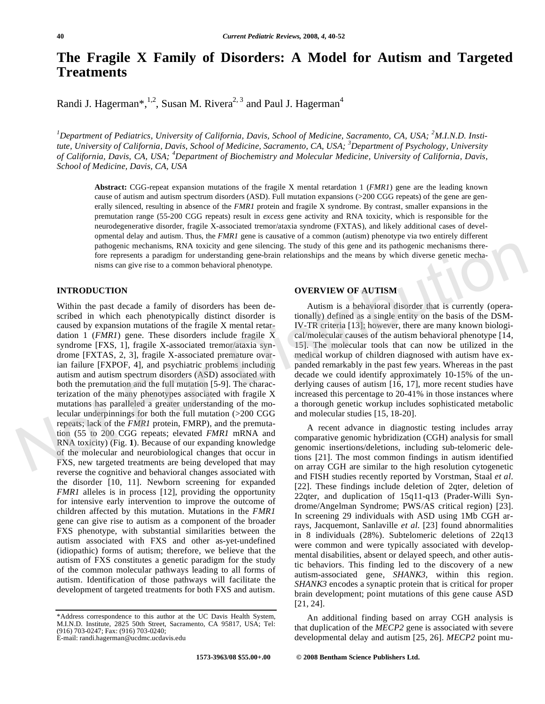# **The Fragile X Family of Disorders: A Model for Autism and Targeted Treatments**

Randi J. Hagerman\*,<sup>1,2</sup>, Susan M. Rivera<sup>2, 3</sup> and Paul J. Hagerman<sup>4</sup>

<sup>1</sup>Department of Pediatrics, University of California, Davis, School of Medicine, Sacramento, CA, USA; <sup>2</sup>M.I.N.D. Insti*tute, University of California, Davis, School of Medicine, Sacramento, CA, USA; <sup>3</sup> Department of Psychology, University of California, Davis, CA, USA; <sup>4</sup> Department of Biochemistry and Molecular Medicine, University of California, Davis, School of Medicine, Davis, CA, USA* 

**Abstract:** CGG-repeat expansion mutations of the fragile X mental retardation 1 (*FMR1*) gene are the leading known cause of autism and autism spectrum disorders (ASD). Full mutation expansions (>200 CGG repeats) of the gene are generally silenced, resulting in absence of the *FMR1* protein and fragile X syndrome. By contrast, smaller expansions in the premutation range (55-200 CGG repeats) result in *excess* gene activity and RNA toxicity, which is responsible for the neurodegenerative disorder, fragile X-associated tremor/ataxia syndrome (FXTAS), and likely additional cases of developmental delay and autism. Thus, the *FMR1* gene is causative of a common (autism) phenotype via two entirely different pathogenic mechanisms, RNA toxicity and gene silencing. The study of this gene and its pathogenic mechanisms therefore represents a paradigm for understanding gene-brain relationships and the means by which diverse genetic mechanisms can give rise to a common behavioral phenotype.

#### **INTRODUCTION**

Within the past decade a family of disorders has been described in which each phenotypically distinct disorder is caused by expansion mutations of the fragile X mental retardation 1 (*FMR1*) gene. These disorders include fragile X syndrome [FXS, 1], fragile X-associated tremor/ataxia syndrome [FXTAS, 2, 3], fragile X-associated premature ovarian failure [FXPOF, 4], and psychiatric problems including autism and autism spectrum disorders (ASD) associated with both the premutation and the full mutation [5-9]. The characterization of the many phenotypes associated with fragile X mutations has paralleled a greater understanding of the molecular underpinnings for both the full mutation (>200 CGG repeats; lack of the *FMR1* protein, FMRP), and the premutation (55 to 200 CGG repeats; elevated *FMR1* mRNA and RNA toxicity) (Fig. **1**). Because of our expanding knowledge of the molecular and neurobiological changes that occur in FXS, new targeted treatments are being developed that may reverse the cognitive and behavioral changes associated with the disorder [10, 11]. Newborn screening for expanded *FMR1* alleles is in process [12], providing the opportunity for intensive early intervention to improve the outcome of children affected by this mutation. Mutations in the *FMR1* gene can give rise to autism as a component of the broader FXS phenotype, with substantial similarities between the autism associated with FXS and other as-yet-undefined (idiopathic) forms of autism; therefore, we believe that the autism of FXS constitutes a genetic paradigm for the study of the common molecular pathways leading to all forms of autism. Identification of those pathways will facilitate the development of targeted treatments for both FXS and autism. publisheria mechanisms, RNA toxicity and gene silencing. The study of this gene and its pathogenic mechanisms therefore in the represents a paradigm for understanding gene-bmin relationships and the means by which diverse

\*Address correspondence to this author at the UC Davis Health System, M.I.N.D. Institute, 2825 50th Street, Sacramento, CA 95817, USA; Tel: (916) 703-0247; Fax: (916) 703-0240; E-mail: randi.hagerman@ucdmc.ucdavis.edu

**OVERVIEW OF AUTISM** 

Autism is a behavioral disorder that is currently (operationally) defined as a single entity on the basis of the DSM-IV-TR criteria [13]; however, there are many known biological/molecular causes of the autism behavioral phenotype [14, 15]. The molecular tools that can now be utilized in the medical workup of children diagnosed with autism have expanded remarkably in the past few years. Whereas in the past decade we could identify approximately 10-15% of the underlying causes of autism [16, 17], more recent studies have increased this percentage to 20-41% in those instances where a thorough genetic workup includes sophisticated metabolic and molecular studies [15, 18-20].

A recent advance in diagnostic testing includes array comparative genomic hybridization (CGH) analysis for small genomic insertions/deletions, including sub-telomeric deletions [21]. The most common findings in autism identified on array CGH are similar to the high resolution cytogenetic and FISH studies recently reported by Vorstman, Staal *et al*. [22]. These findings include deletion of 2qter, deletion of 22qter, and duplication of 15q11-q13 (Prader-Willi Syndrome/Angelman Syndrome; PWS/AS critical region) [23]. In screening 29 individuals with ASD using 1Mb CGH arrays, Jacquemont, Sanlaville *et al*. [23] found abnormalities in 8 individuals (28%). Subtelomeric deletions of 22q13 were common and were typically associated with developmental disabilities, absent or delayed speech, and other autistic behaviors. This finding led to the discovery of a new autism-associated gene, *SHANK3*, within this region. *SHANK3* encodes a synaptic protein that is critical for proper brain development; point mutations of this gene cause ASD [21, 24].

An additional finding based on array CGH analysis is that duplication of the *MECP2* gene is associated with severe developmental delay and autism [25, 26]. *MECP2* point mu-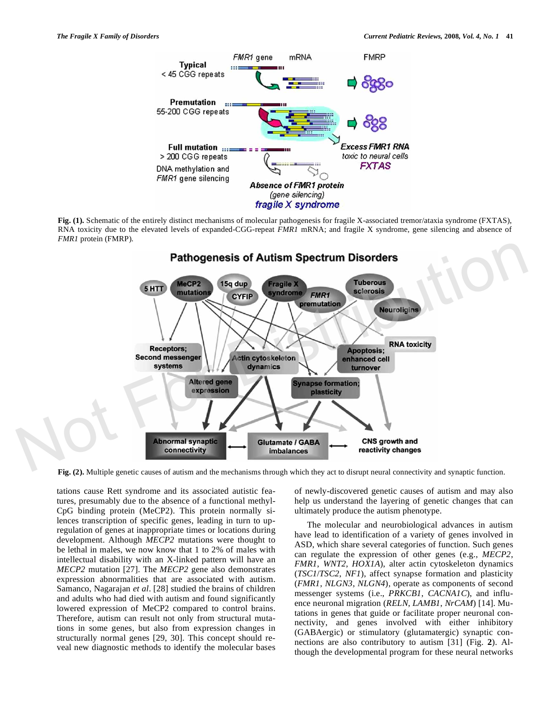

**Fig. (1).** Schematic of the entirely distinct mechanisms of molecular pathogenesis for fragile X-associated tremor/ataxia syndrome (FXTAS), RNA toxicity due to the elevated levels of expanded-CGG-repeat *FMR1* mRNA; and fragile X syndrome, gene silencing and absence of *FMR1* protein (FMRP).



**Fig. (2).** Multiple genetic causes of autism and the mechanisms through which they act to disrupt neural connectivity and synaptic function.

tations cause Rett syndrome and its associated autistic features, presumably due to the absence of a functional methyl-CpG binding protein (MeCP2). This protein normally silences transcription of specific genes, leading in turn to upregulation of genes at inappropriate times or locations during development. Although *MECP2* mutations were thought to be lethal in males, we now know that 1 to 2% of males with intellectual disability with an X-linked pattern will have an *MECP2* mutation [27]. The *MECP2* gene also demonstrates expression abnormalities that are associated with autism. Samanco, Nagarajan *et al*. [28] studied the brains of children and adults who had died with autism and found significantly lowered expression of MeCP2 compared to control brains. Therefore, autism can result not only from structural mutations in some genes, but also from expression changes in structurally normal genes [29, 30]. This concept should reveal new diagnostic methods to identify the molecular bases of newly-discovered genetic causes of autism and may also help us understand the layering of genetic changes that can ultimately produce the autism phenotype.

The molecular and neurobiological advances in autism have lead to identification of a variety of genes involved in ASD, which share several categories of function. Such genes can regulate the expression of other genes (e.g., *MECP2*, *FMR1*, *WNT2*, *HOX1A*), alter actin cytoskeleton dynamics (*TSC1*/*TSC2*, *NF1*), affect synapse formation and plasticity (*FMR1*, *NLGN3*, *NLGN4*), operate as components of second messenger systems (i.e., *PRKCB1*, *CACNA1C*), and influence neuronal migration (*RELN*, *LAMB1*, *NrCAM*) [14]. Mutations in genes that guide or facilitate proper neuronal connectivity, and genes involved with either inhibitory (GABAergic) or stimulatory (glutamatergic) synaptic connections are also contributory to autism [31] (Fig. **2**). Although the developmental program for these neural networks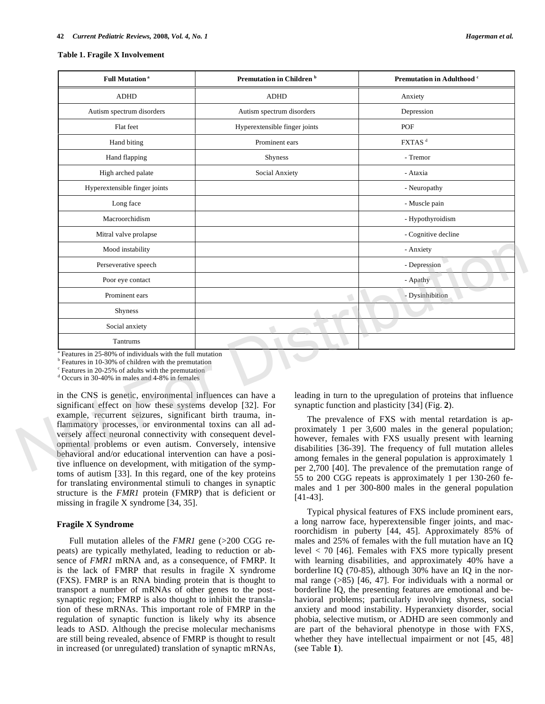#### **Table 1. Fragile X Involvement**

| Premutation in Children <sup>b</sup><br><b>Full Mutation<sup>a</sup></b>                                                                                                                                                                                                                                                                                                                                                                                                                                                                                                                                                                                                                                                                                                   |                                                                                     |  | Premutation in Adulthood c                                                                                                                                                                                                                                                                                                                                                                                                     |
|----------------------------------------------------------------------------------------------------------------------------------------------------------------------------------------------------------------------------------------------------------------------------------------------------------------------------------------------------------------------------------------------------------------------------------------------------------------------------------------------------------------------------------------------------------------------------------------------------------------------------------------------------------------------------------------------------------------------------------------------------------------------------|-------------------------------------------------------------------------------------|--|--------------------------------------------------------------------------------------------------------------------------------------------------------------------------------------------------------------------------------------------------------------------------------------------------------------------------------------------------------------------------------------------------------------------------------|
| <b>ADHD</b>                                                                                                                                                                                                                                                                                                                                                                                                                                                                                                                                                                                                                                                                                                                                                                | <b>ADHD</b>                                                                         |  | Anxiety                                                                                                                                                                                                                                                                                                                                                                                                                        |
| Autism spectrum disorders                                                                                                                                                                                                                                                                                                                                                                                                                                                                                                                                                                                                                                                                                                                                                  | Autism spectrum disorders                                                           |  | Depression                                                                                                                                                                                                                                                                                                                                                                                                                     |
| Flat feet                                                                                                                                                                                                                                                                                                                                                                                                                                                                                                                                                                                                                                                                                                                                                                  | Hyperextensible finger joints<br>Prominent ears<br><b>Shyness</b><br>Social Anxiety |  | POF                                                                                                                                                                                                                                                                                                                                                                                                                            |
| Hand biting                                                                                                                                                                                                                                                                                                                                                                                                                                                                                                                                                                                                                                                                                                                                                                |                                                                                     |  | FXTAS <sup>d</sup>                                                                                                                                                                                                                                                                                                                                                                                                             |
| Hand flapping                                                                                                                                                                                                                                                                                                                                                                                                                                                                                                                                                                                                                                                                                                                                                              |                                                                                     |  | - Tremor                                                                                                                                                                                                                                                                                                                                                                                                                       |
| High arched palate                                                                                                                                                                                                                                                                                                                                                                                                                                                                                                                                                                                                                                                                                                                                                         |                                                                                     |  | - Ataxia                                                                                                                                                                                                                                                                                                                                                                                                                       |
| Hyperextensible finger joints                                                                                                                                                                                                                                                                                                                                                                                                                                                                                                                                                                                                                                                                                                                                              |                                                                                     |  | - Neuropathy                                                                                                                                                                                                                                                                                                                                                                                                                   |
| Long face                                                                                                                                                                                                                                                                                                                                                                                                                                                                                                                                                                                                                                                                                                                                                                  |                                                                                     |  | - Muscle pain                                                                                                                                                                                                                                                                                                                                                                                                                  |
| Macroorchidism                                                                                                                                                                                                                                                                                                                                                                                                                                                                                                                                                                                                                                                                                                                                                             |                                                                                     |  | - Hypothyroidism                                                                                                                                                                                                                                                                                                                                                                                                               |
| Mitral valve prolapse                                                                                                                                                                                                                                                                                                                                                                                                                                                                                                                                                                                                                                                                                                                                                      |                                                                                     |  | - Cognitive decline                                                                                                                                                                                                                                                                                                                                                                                                            |
| Mood instability                                                                                                                                                                                                                                                                                                                                                                                                                                                                                                                                                                                                                                                                                                                                                           |                                                                                     |  | - Anxiety                                                                                                                                                                                                                                                                                                                                                                                                                      |
| Perseverative speech                                                                                                                                                                                                                                                                                                                                                                                                                                                                                                                                                                                                                                                                                                                                                       |                                                                                     |  | - Depression                                                                                                                                                                                                                                                                                                                                                                                                                   |
| Poor eye contact                                                                                                                                                                                                                                                                                                                                                                                                                                                                                                                                                                                                                                                                                                                                                           |                                                                                     |  | - Apathy                                                                                                                                                                                                                                                                                                                                                                                                                       |
| Prominent ears                                                                                                                                                                                                                                                                                                                                                                                                                                                                                                                                                                                                                                                                                                                                                             |                                                                                     |  | - Dysinhibition                                                                                                                                                                                                                                                                                                                                                                                                                |
| <b>Shyness</b>                                                                                                                                                                                                                                                                                                                                                                                                                                                                                                                                                                                                                                                                                                                                                             |                                                                                     |  |                                                                                                                                                                                                                                                                                                                                                                                                                                |
| Social anxiety                                                                                                                                                                                                                                                                                                                                                                                                                                                                                                                                                                                                                                                                                                                                                             |                                                                                     |  |                                                                                                                                                                                                                                                                                                                                                                                                                                |
| Tantrums                                                                                                                                                                                                                                                                                                                                                                                                                                                                                                                                                                                                                                                                                                                                                                   |                                                                                     |  |                                                                                                                                                                                                                                                                                                                                                                                                                                |
| Features in 25-80% of individuals with the full mutation<br><sup>b</sup> Features in 10-30% of children with the premutation<br><sup>c</sup> Features in 20-25% of adults with the premutation<br><sup>d</sup> Occurs in 30-40% in males and 4-8% in females<br>in the CNS is genetic, environmental influences can have a<br>significant effect on how these systems develop [32]. For<br>example, recurrent seizures, significant birth trauma, in-<br>flammatory processes, or environmental toxins can all ad-<br>versely affect neuronal connectivity with consequent devel-<br>opmental problems or even autism. Conversely, intensive<br>behavioral and/or educational intervention can have a posi-<br>tive influence on development, with mitigation of the symp- |                                                                                     |  | leading in turn to the upregulation of proteins that influence<br>synaptic function and plasticity [34] (Fig. 2).<br>The prevalence of FXS with mental retardation is ap-<br>proximately 1 per 3,600 males in the general population;<br>however, females with FXS usually present with learning<br>disabilities [36-39]. The frequency of full mutation alleles<br>among females in the general population is approximately 1 |

in the CNS is genetic, environmental influences can have a significant effect on how these systems develop [32]. For example, recurrent seizures, significant birth trauma, inflammatory processes, or environmental toxins can all adversely affect neuronal connectivity with consequent developmental problems or even autism. Conversely, intensive behavioral and/or educational intervention can have a positive influence on development, with mitigation of the symptoms of autism [33]. In this regard, one of the key proteins for translating environmental stimuli to changes in synaptic structure is the *FMR1* protein (FMRP) that is deficient or missing in fragile X syndrome [34, 35].

#### **Fragile X Syndrome**

Full mutation alleles of the *FMR1* gene (>200 CGG repeats) are typically methylated, leading to reduction or absence of *FMR1* mRNA and, as a consequence, of FMRP. It is the lack of FMRP that results in fragile X syndrome (FXS). FMRP is an RNA binding protein that is thought to transport a number of mRNAs of other genes to the postsynaptic region; FMRP is also thought to inhibit the translation of these mRNAs. This important role of FMRP in the regulation of synaptic function is likely why its absence leads to ASD. Although the precise molecular mechanisms are still being revealed, absence of FMRP is thought to result in increased (or unregulated) translation of synaptic mRNAs,

The prevalence of FXS with mental retardation is approximately 1 per 3,600 males in the general population; however, females with FXS usually present with learning disabilities [36-39]. The frequency of full mutation alleles among females in the general population is approximately 1 per 2,700 [40]. The prevalence of the premutation range of 55 to 200 CGG repeats is approximately 1 per 130-260 females and 1 per 300-800 males in the general population [41-43].

Typical physical features of FXS include prominent ears, a long narrow face, hyperextensible finger joints, and macroorchidism in puberty [44, 45]. Approximately 85% of males and 25% of females with the full mutation have an IQ level < 70 [46]. Females with FXS more typically present with learning disabilities, and approximately 40% have a borderline IQ (70-85), although 30% have an IQ in the normal range (>85) [46, 47]. For individuals with a normal or borderline IQ, the presenting features are emotional and behavioral problems; particularly involving shyness, social anxiety and mood instability. Hyperanxiety disorder, social phobia, selective mutism, or ADHD are seen commonly and are part of the behavioral phenotype in those with FXS, whether they have intellectual impairment or not [45, 48] (see Table **1**).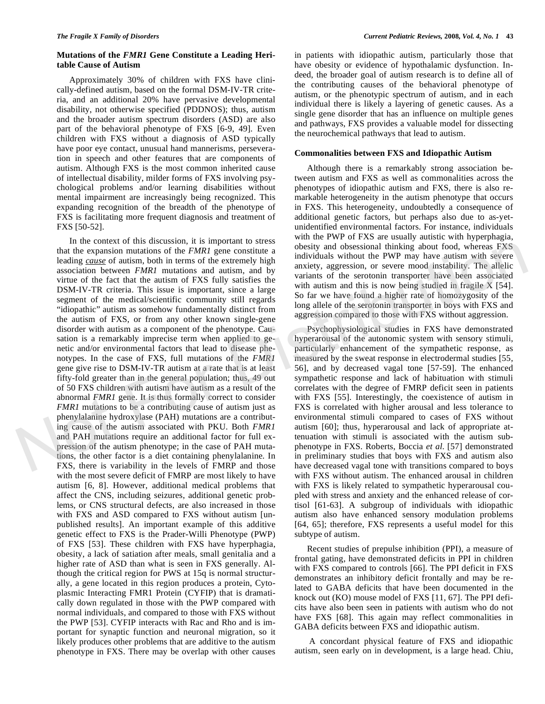## **Mutations of the** *FMR1* **Gene Constitute a Leading Heritable Cause of Autism**

Approximately 30% of children with FXS have clinically-defined autism, based on the formal DSM-IV-TR criteria, and an additional 20% have pervasive developmental disability, not otherwise specified (PDDNOS); thus, autism and the broader autism spectrum disorders (ASD) are also part of the behavioral phenotype of FXS [6-9, 49]. Even children with FXS without a diagnosis of ASD typically have poor eye contact, unusual hand mannerisms, perseveration in speech and other features that are components of autism. Although FXS is the most common inherited cause of intellectual disability, milder forms of FXS involving psychological problems and/or learning disabilities without mental impairment are increasingly being recognized. This expanding recognition of the breadth of the phenotype of FXS is facilitating more frequent diagnosis and treatment of FXS [50-52].

In the context of this discussion, it is important to stress that the expansion mutations of the *FMR1* gene constitute a leading *cause* of autism, both in terms of the extremely high association between *FMR1* mutations and autism, and by virtue of the fact that the autism of FXS fully satisfies the DSM-IV-TR criteria. This issue is important, since a large segment of the medical/scientific community still regards "idiopathic" autism as somehow fundamentally distinct from the autism of FXS, or from any other known single-gene disorder with autism as a component of the phenotype. Causation is a remarkably imprecise term when applied to genetic and/or environmental factors that lead to disease phenotypes. In the case of FXS, full mutations of the *FMR1* gene give rise to DSM-IV-TR autism at a rate that is at least fifty-fold greater than in the general population; thus, 49 out of 50 FXS children with autism have autism as a result of the abnormal *FMR1* gene. It is thus formally correct to consider *FMR1* mutations to be a contributing cause of autism just as phenylalanine hydroxylase (PAH) mutations are a contributing cause of the autism associated with PKU. Both *FMR1* and PAH mutations require an additional factor for full expression of the autism phenotype; in the case of PAH mutations, the other factor is a diet containing phenylalanine. In FXS, there is variability in the levels of FMRP and those with the most severe deficit of FMRP are most likely to have autism [6, 8]. However, additional medical problems that affect the CNS, including seizures, additional genetic problems, or CNS structural defects, are also increased in those with FXS and ASD compared to FXS without autism [unpublished results]. An important example of this additive genetic effect to FXS is the Prader-Willi Phenotype (PWP) of FXS [53]. These children with FXS have hyperphagia, obesity, a lack of satiation after meals, small genitalia and a higher rate of ASD than what is seen in FXS generally. Although the critical region for PWS at 15q is normal structurally, a gene located in this region produces a protein, Cytoplasmic Interacting FMR1 Protein (CYFIP) that is dramatically down regulated in those with the PWP compared with normal individuals, and compared to those with FXS without the PWP [53]. CYFIP interacts with Rac and Rho and is important for synaptic function and neuronal migration, so it likely produces other problems that are additive to the autism phenotype in FXS. There may be overlap with other causes In the cones to this discussion, it is important to stress<br>
that the expansion mutations of the *FMR1* gene constitute a<br>
individuals without the PWF may have autism with severe<br>
leading <u>cause</u> of autism, both in terms o

in patients with idiopathic autism, particularly those that have obesity or evidence of hypothalamic dysfunction. Indeed, the broader goal of autism research is to define all of the contributing causes of the behavioral phenotype of autism, or the phenotypic spectrum of autism, and in each individual there is likely a layering of genetic causes. As a single gene disorder that has an influence on multiple genes and pathways, FXS provides a valuable model for dissecting the neurochemical pathways that lead to autism.

#### **Commonalities between FXS and Idiopathic Autism**

Although there is a remarkably strong association between autism and FXS as well as commonalities across the phenotypes of idiopathic autism and FXS, there is also remarkable heterogeneity in the autism phenotype that occurs in FXS. This heterogeneity, undoubtedly a consequence of additional genetic factors, but perhaps also due to as-yetunidentified environmental factors. For instance, individuals with the PWP of FXS are usually autistic with hyperphagia, obesity and obsessional thinking about food, whereas FXS individuals without the PWP may have autism with severe anxiety, aggression, or severe mood instability. The allelic variants of the serotonin transporter have been associated with autism and this is now being studied in fragile X [54]. So far we have found a higher rate of homozygosity of the long allele of the serotonin transporter in boys with FXS and aggression compared to those with FXS without aggression.

Psychophysiological studies in FXS have demonstrated hyperarousal of the autonomic system with sensory stimuli, particularly enhancement of the sympathetic response, as measured by the sweat response in electrodermal studies [55, 56], and by decreased vagal tone [57-59]. The enhanced sympathetic response and lack of habituation with stimuli correlates with the degree of FMRP deficit seen in patients with FXS [55]. Interestingly, the coexistence of autism in FXS is correlated with higher arousal and less tolerance to environmental stimuli compared to cases of FXS without autism [60]; thus, hyperarousal and lack of appropriate attenuation with stimuli is associated with the autism subphenotype in FXS. Roberts, Boccia *et al*. [57] demonstrated in preliminary studies that boys with FXS and autism also have decreased vagal tone with transitions compared to boys with FXS without autism. The enhanced arousal in children with FXS is likely related to sympathetic hyperarousal coupled with stress and anxiety and the enhanced release of cortisol [61-63]. A subgroup of individuals with idiopathic autism also have enhanced sensory modulation problems [64, 65]; therefore, FXS represents a useful model for this subtype of autism.

Recent studies of prepulse inhibition (PPI), a measure of frontal gating, have demonstrated deficits in PPI in children with FXS compared to controls [66]. The PPI deficit in FXS demonstrates an inhibitory deficit frontally and may be related to GABA deficits that have been documented in the knock out (KO) mouse model of FXS [11, 67]. The PPI deficits have also been seen in patients with autism who do not have FXS [68]. This again may reflect commonalities in GABA deficits between FXS and idiopathic autism.

 A concordant physical feature of FXS and idiopathic autism, seen early on in development, is a large head. Chiu,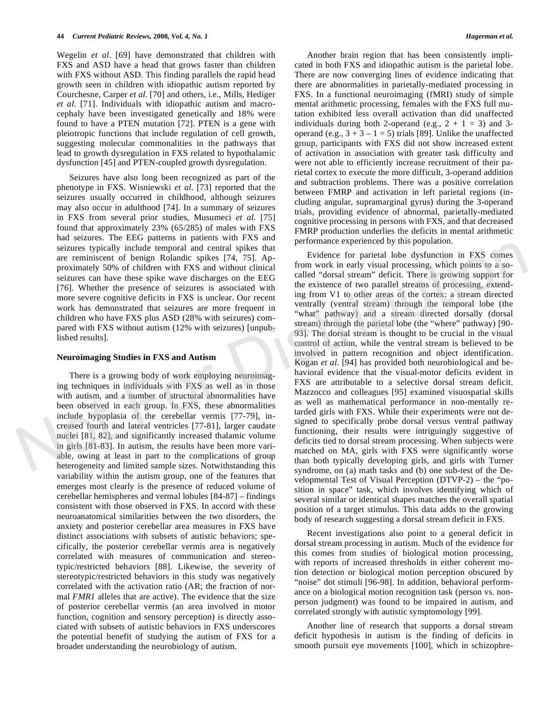Wegelin *et al*. [69] have demonstrated that children with FXS and ASD have a head that grows faster than children with FXS without ASD. This finding parallels the rapid head growth seen in children with idiopathic autism reported by Courchesne, Carper *et al*. [70] and others, i.e., Mills, Hediger *et al*. [71]. Individuals with idiopathic autism and macrocephaly have been investigated genetically and 18% were found to have a PTEN mutation [72]. PTEN is a gene with pleiotropic functions that include regulation of cell growth, suggesting molecular commonalities in the pathways that lead to growth dysregulation in FXS related to hypothalamic dysfunction [45] and PTEN-coupled growth dysregulation.

Seizures have also long been recognized as part of the phenotype in FXS. Wisniewski *et al*. [73] reported that the seizures usually occurred in childhood, although seizures may also occur in adulthood [74]. In a summary of seizures in FXS from several prior studies, Musumeci *et al*. [75] found that approximately 23% (65/285) of males with FXS had seizures. The EEG patterns in patients with FXS and seizures typically include temporal and central spikes that are reminiscent of benign Rolandic spikes [74, 75]. Approximately 50% of children with FXS and without clinical seizures can have these spike wave discharges on the EEG [76]. Whether the presence of seizures is associated with more severe cognitive deficits in FXS is unclear. Our recent work has demonstrated that seizures are more frequent in children who have FXS plus ASD (28% with seizures) compared with FXS without autism (12% with seizures) [unpublished results].

## **Neuroimaging Studies in FXS and Autism**

There is a growing body of work employing neuroimaging techniques in individuals with FXS as well as in those with autism, and a number of structural abnormalities have been observed in each group. In FXS, these abnormalities include hypoplasia of the cerebellar vermis [77-79], increased fourth and lateral ventricles [77-81], larger caudate nuclei [81, 82], and significantly increased thalamic volume in girls [81-83]. In autism, the results have been more variable, owing at least in part to the complications of group heterogeneity and limited sample sizes. Notwithstanding this variability within the autism group, one of the features that emerges most clearly is the presence of reduced volume of cerebellar hemispheres and vermal lobules [84-87] – findings consistent with those observed in FXS. In accord with these neuroanatomical similarities between the two disorders, the anxiety and posterior cerebellar area measures in FXS have distinct associations with subsets of autistic behaviors; specifically, the posterior cerebellar vermis area is negatively correlated with measures of communication and stereotypic/restricted behaviors [88]. Likewise, the severity of stereotypic/restricted behaviors in this study was negatively correlated with the activation ratio (AR; the fraction of normal *FMR1* alleles that are active). The evidence that the size of posterior cerebellar vermis (an area involved in motor function, cognition and sensory perception) is directly associated with subsets of autistic behaviors in FXS underscores the potential benefit of studying the autism of FXS for a broader understanding the neurobiology of autism.

Another brain region that has been consistently implicated in both FXS and idiopathic autism is the parietal lobe. There are now converging lines of evidence indicating that there are abnormalities in parietally-mediated processing in FXS. In a functional neuroimaging (fMRI) study of simple mental arithmetic processing, females with the FXS full mutation exhibited less overall activation than did unaffected individuals during both 2-operand (e.g.,  $2 + 1 = 3$ ) and 3operand (e.g.,  $3 + 3 - 1 = 5$ ) trials [89]. Unlike the unaffected group, participants with FXS did not show increased extent of activation in association with greater task difficulty and were not able to efficiently increase recruitment of their parietal cortex to execute the more difficult, 3-operand addition and subtraction problems. There was a positive correlation between FMRP and activation in left parietal regions (including angular, supramarginal gyrus) during the 3-operand trials, providing evidence of abnormal, parietally-mediated cognitive processing in persons with FXS, and that decreased FMRP production underlies the deficits in mental arithmetic performance experienced by this population.

Evidence for parietal lobe dysfunction in FXS comes from work in early visual processing, which points to a socalled "dorsal stream" deficit. There is growing support for the existence of two parallel streams of processing, extending from V1 to other areas of the cortex: a stream directed ventrally (ventral stream) through the temporal lobe (the "what" pathway) and a stream directed dorsally (dorsal stream) through the parietal lobe (the "where" pathway) [90- 93]. The dorsal stream is thought to be crucial in the visual control of action, while the ventral stream is believed to be involved in pattern recognition and object identification. Kogan *et al*. [94] has provided both neurobiological and behavioral evidence that the visual-motor deficits evident in FXS are attributable to a selective dorsal stream deficit. Mazzocco and colleagues [95] examined visuospatial skills as well as mathematical performance in non-mentally retarded girls with FXS. While their experiments were not designed to specifically probe dorsal versus ventral pathway functioning, their results were intriguingly suggestive of deficits tied to dorsal stream processing. When subjects were matched on MA, girls with FXS were significantly worse than both typically developing girls, and girls with Turner syndrome, on (a) math tasks and (b) one sub-test of the Developmental Test of Visual Perception (DTVP-2) – the "position in space" task, which involves identifying which of several similar or identical shapes matches the overall spatial position of a target stimulus. This data adds to the growing body of research suggesting a dorsal stream deficit in FXS. seizures typically include temporal and central spikes that<br>
performance experience of particle lobe dysfunction in FXS comes<br>
proximately 50% of children with FXS and without clinical<br>
promoved include of particle lobe d

> Recent investigations also point to a general deficit in dorsal stream processing in autism. Much of the evidence for this comes from studies of biological motion processing, with reports of increased thresholds in either coherent motion detection or biological motion perception obscured by "noise" dot stimuli [96-98]. In addition, behavioral performance on a biological motion recognition task (person vs. nonperson judgment) was found to be impaired in autism, and correlated strongly with autistic symptomology [99].

> Another line of research that supports a dorsal stream deficit hypothesis in autism is the finding of deficits in smooth pursuit eye movements [100], which in schizophre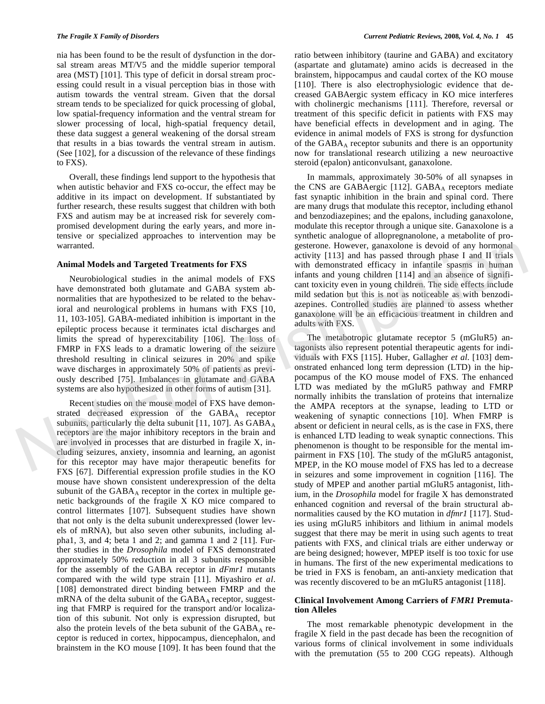nia has been found to be the result of dysfunction in the dorsal stream areas MT/V5 and the middle superior temporal area (MST) [101]. This type of deficit in dorsal stream processing could result in a visual perception bias in those with autism towards the ventral stream. Given that the dorsal stream tends to be specialized for quick processing of global, low spatial-frequency information and the ventral stream for slower processing of local, high-spatial frequency detail, these data suggest a general weakening of the dorsal stream that results in a bias towards the ventral stream in autism. (See [102], for a discussion of the relevance of these findings to FXS).

Overall, these findings lend support to the hypothesis that when autistic behavior and FXS co-occur, the effect may be additive in its impact on development. If substantiated by further research, these results suggest that children with both FXS and autism may be at increased risk for severely compromised development during the early years, and more intensive or specialized approaches to intervention may be warranted.

#### **Animal Models and Targeted Treatments for FXS**

Neurobiological studies in the animal models of FXS have demonstrated both glutamate and GABA system abnormalities that are hypothesized to be related to the behavioral and neurological problems in humans with FXS [10, 11, 103-105]. GABA-mediated inhibition is important in the epileptic process because it terminates ictal discharges and limits the spread of hyperexcitability [106]. The loss of FMRP in FXS leads to a dramatic lowering of the seizure threshold resulting in clinical seizures in 20% and spike wave discharges in approximately 50% of patients as previously described [75]. Imbalances in glutamate and GABA systems are also hypothesized in other forms of autism [31].

Recent studies on the mouse model of FXS have demonstrated decreased expression of the GABAA receptor subunits, particularly the delta subunit [11, 107]. As  $GABA_A$ receptors are the major inhibitory receptors in the brain and are involved in processes that are disturbed in fragile X, including seizures, anxiety, insomnia and learning, an agonist for this receptor may have major therapeutic benefits for FXS [67]. Differential expression profile studies in the KO mouse have shown consistent underexpression of the delta subunit of the GABA<sub>A</sub> receptor in the cortex in multiple genetic backgrounds of the fragile X KO mice compared to control littermates [107]. Subsequent studies have shown that not only is the delta subunit underexpressed (lower levels of mRNA), but also seven other subunits, including alpha1, 3, and 4; beta 1 and 2; and gamma 1 and 2 [11]. Further studies in the *Drosophila* model of FXS demonstrated approximately 50% reduction in all 3 subunits responsible for the assembly of the GABA receptor in *dFmr1* mutants compared with the wild type strain [11]. Miyashiro *et al*. [108] demonstrated direct binding between FMRP and the mRNA of the delta subunit of the  $GABA_A$  receptor, suggesting that FMRP is required for the transport and/or localization of this subunit. Not only is expression disrupted, but also the protein levels of the beta subunit of the  $GABA_A$  receptor is reduced in cortex, hippocampus, diencephalon, and brainstem in the KO mouse [109]. It has been found that the ratio between inhibitory (taurine and GABA) and excitatory (aspartate and glutamate) amino acids is decreased in the brainstem, hippocampus and caudal cortex of the KO mouse [110]. There is also electrophysiologic evidence that decreased GABAergic system efficacy in KO mice interferes with cholinergic mechanisms [111]. Therefore, reversal or treatment of this specific deficit in patients with FXS may have beneficial effects in development and in aging. The evidence in animal models of FXS is strong for dysfunction of the GABA<sub>A</sub> receptor subunits and there is an opportunity now for translational research utilizing a new neuroactive steroid (epalon) anticonvulsant, ganaxolone.

In mammals, approximately 30-50% of all synapses in the CNS are GABAergic [112].  $GABA<sub>A</sub>$  receptors mediate fast synaptic inhibition in the brain and spinal cord. There are many drugs that modulate this receptor, including ethanol and benzodiazepines; and the epalons, including ganaxolone, modulate this receptor through a unique site. Ganaxolone is a synthetic analogue of allopregnanolone, a metabolite of progesterone. However, ganaxolone is devoid of any hormonal activity [113] and has passed through phase I and II trials with demonstrated efficacy in infantile spasms in human infants and young children [114] and an absence of significant toxicity even in young children. The side effects include mild sedation but this is not as noticeable as with benzodiazepines. Controlled studies are planned to assess whether ganaxolone will be an efficacious treatment in children and adults with FXS.

The metabotropic glutamate receptor 5 (mGluR5) antagonists also represent potential therapeutic agents for individuals with FXS [115]. Huber, Gallagher *et al*. [103] demonstrated enhanced long term depression (LTD) in the hippocampus of the KO mouse model of FXS. The enhanced LTD was mediated by the mGluR5 pathway and FMRP normally inhibits the translation of proteins that internalize the AMPA receptors at the synapse, leading to LTD or weakening of synaptic connections [10]. When FMRP is absent or deficient in neural cells, as is the case in FXS, there is enhanced LTD leading to weak synaptic connections. This phenomenon is thought to be responsible for the mental impairment in FXS [10]. The study of the mGluR5 antagonist, MPEP, in the KO mouse model of FXS has led to a decrease in seizures and some improvement in cognition [116]. The study of MPEP and another partial mGluR5 antagonist, lithium, in the *Drosophila* model for fragile X has demonstrated enhanced cognition and reversal of the brain structural abnormalities caused by the KO mutation in *dfmr1* [117]. Studies using mGluR5 inhibitors and lithium in animal models suggest that there may be merit in using such agents to treat patients with FXS, and clinical trials are either underway or are being designed; however, MPEP itself is too toxic for use in humans. The first of the new experimental medications to be tried in FXS is fenobam, an anti-anxiety medication that was recently discovered to be an mGluR5 antagonist [118]. warranted.<br> **Animal Models and Targeted Treatments for FXS** activity [113] and has passed through phase I and II trials<br>
Neurobiological studies in the animal models of FXS with demonstrated efficacy in infantile spassns

# **Clinical Involvement Among Carriers of** *FMR1* **Premutation Alleles**

The most remarkable phenotypic development in the fragile X field in the past decade has been the recognition of various forms of clinical involvement in some individuals with the premutation (55 to 200 CGG repeats). Although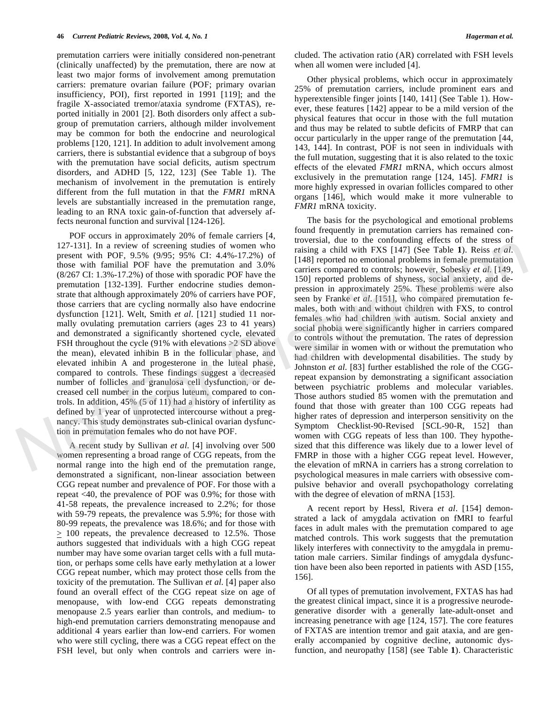premutation carriers were initially considered non-penetrant (clinically unaffected) by the premutation, there are now at least two major forms of involvement among premutation carriers: premature ovarian failure (POF; primary ovarian insufficiency, POI), first reported in 1991 [119]; and the fragile X-associated tremor/ataxia syndrome (FXTAS), reported initially in 2001 [2]. Both disorders only affect a subgroup of premutation carriers, although milder involvement may be common for both the endocrine and neurological problems [120, 121]. In addition to adult involvement among carriers, there is substantial evidence that a subgroup of boys with the premutation have social deficits, autism spectrum disorders, and ADHD [5, 122, 123] (See Table 1). The mechanism of involvement in the premutation is entirely different from the full mutation in that the *FMR1* mRNA levels are substantially increased in the premutation range, leading to an RNA toxic gain-of-function that adversely affects neuronal function and survival [124-126].

POF occurs in approximately 20% of female carriers [4, 127-131]. In a review of screening studies of women who present with POF, 9.5% (9/95; 95% CI: 4.4%-17.2%) of those with familial POF have the premutation and 3.0% (8/267 CI: 1.3%-17.2%) of those with sporadic POF have the premutation [132-139]. Further endocrine studies demonstrate that although approximately 20% of carriers have POF, those carriers that are cycling normally also have endocrine dysfunction [121]. Welt, Smith *et al*. [121] studied 11 normally ovulating premutation carriers (ages 23 to 41 years) and demonstrated a significantly shortened cycle, elevated FSH throughout the cycle (91% with elevations >2 SD above the mean), elevated inhibin B in the follicular phase, and elevated inhibin A and progesterone in the luteal phase, compared to controls. These findings suggest a decreased number of follicles and granulosa cell dysfunction, or decreased cell number in the corpus luteum, compared to controls. In addition, 45% (5 of 11) had a history of infertility as defined by 1 year of unprotected intercourse without a pregnancy. This study demonstrates sub-clinical ovarian dysfunction in premutation females who do not have POF.

A recent study by Sullivan *et al*. [4] involving over 500 women representing a broad range of CGG repeats, from the normal range into the high end of the premutation range, demonstrated a significant, non-linear association between CGG repeat number and prevalence of POF. For those with a repeat <40, the prevalence of POF was 0.9%; for those with 41-58 repeats, the prevalence increased to 2.2%; for those with 59-79 repeats, the prevalence was 5.9%; for those with 80-99 repeats, the prevalence was 18.6%; and for those with  $\geq$  100 repeats, the prevalence decreased to 12.5%. Those authors suggested that individuals with a high CGG repeat number may have some ovarian target cells with a full mutation, or perhaps some cells have early methylation at a lower CGG repeat number, which may protect those cells from the toxicity of the premutation. The Sullivan *et al*. [4] paper also found an overall effect of the CGG repeat size on age of menopause, with low-end CGG repeats demonstrating menopause 2.5 years earlier than controls, and medium- to high-end premutation carriers demonstrating menopause and additional 4 years earlier than low-end carriers. For women who were still cycling, there was a CGG repeat effect on the FSH level, but only when controls and carriers were included. The activation ratio (AR) correlated with FSH levels when all women were included [4].

Other physical problems, which occur in approximately 25% of premutation carriers, include prominent ears and hyperextensible finger joints [140, 141] (See Table 1). However, these features [142] appear to be a mild version of the physical features that occur in those with the full mutation and thus may be related to subtle deficits of FMRP that can occur particularly in the upper range of the premutation [44, 143, 144]. In contrast, POF is not seen in individuals with the full mutation, suggesting that it is also related to the toxic effects of the elevated *FMR1* mRNA, which occurs almost exclusively in the premutation range [124, 145]. *FMR1* is more highly expressed in ovarian follicles compared to other organs [146], which would make it more vulnerable to *FMR1* mRNA toxicity.

The basis for the psychological and emotional problems found frequently in premutation carriers has remained controversial, due to the confounding effects of the stress of raising a child with FXS [147] (See Table **1**). Reiss *et al*. [148] reported no emotional problems in female premutation carriers compared to controls; however, Sobesky *et al*. [149, 150] reported problems of shyness, social anxiety, and depression in approximately 25%. These problems were also seen by Franke *et al*. [151], who compared premutation females, both with and without children with FXS, to control females who had children with autism. Social anxiety and social phobia were significantly higher in carriers compared to controls without the premutation. The rates of depression were similar in women with or without the premutation who had children with developmental disabilities. The study by Johnston *et al*. [83] further established the role of the CGGrepeat expansion by demonstrating a significant association between psychiatric problems and molecular variables. Those authors studied 85 women with the premutation and found that those with greater than 100 CGG repeats had higher rates of depression and interperson sensitivity on the Symptom Checklist-90-Revised [SCL-90-R, 152] than women with CGG repeats of less than 100. They hypothesized that this difference was likely due to a lower level of FMRP in those with a higher CGG repeat level. However, the elevation of mRNA in carriers has a strong correlation to psychological measures in male carriers with obsessive compulsive behavior and overall psychopathology correlating with the degree of elevation of mRNA [153]. 127-131). In a review of street<br>ing sudies of women who bees and, the content with POF. 9.5% (9.95; 9.5% CI: 4.4%-17.2%) of raising a child with FXS [147] (See Table 1). Reiss *et al.*<br>those with fimilial POF have the pre

> A recent report by Hessl, Rivera *et al*. [154] demonstrated a lack of amygdala activation on fMRI to fearful faces in adult males with the premutation compared to age matched controls. This work suggests that the premutation likely interferes with connectivity to the amygdala in premutation male carriers. Similar findings of amygdala dysfunction have been also been reported in patients with ASD [155, 156].

> Of all types of premutation involvement, FXTAS has had the greatest clinical impact, since it is a progressive neurodegenerative disorder with a generally late-adult-onset and increasing penetrance with age [124, 157]. The core features of FXTAS are intention tremor and gait ataxia, and are generally accompanied by cognitive decline, autonomic dysfunction, and neuropathy [158] (see Table **1**). Characteristic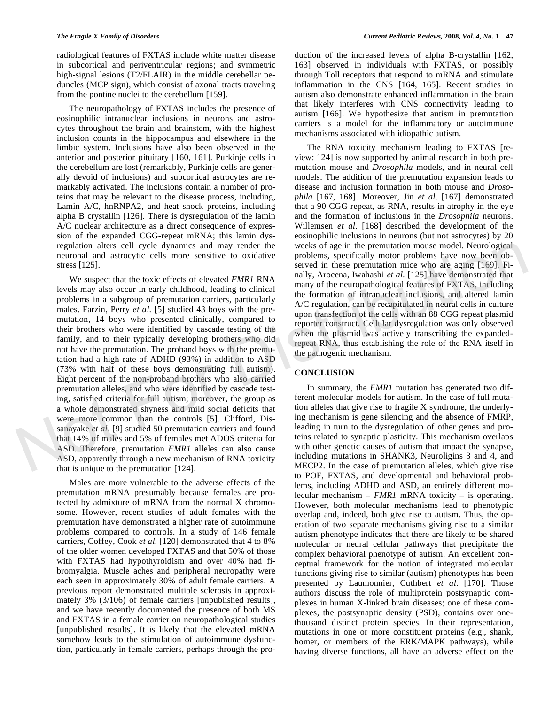radiological features of FXTAS include white matter disease in subcortical and periventricular regions; and symmetric high-signal lesions (T2/FLAIR) in the middle cerebellar peduncles (MCP sign), which consist of axonal tracts traveling from the pontine nuclei to the cerebellum [159].

The neuropathology of FXTAS includes the presence of eosinophilic intranuclear inclusions in neurons and astrocytes throughout the brain and brainstem, with the highest inclusion counts in the hippocampus and elsewhere in the limbic system. Inclusions have also been observed in the anterior and posterior pituitary [160, 161]. Purkinje cells in the cerebellum are lost (remarkably, Purkinje cells are generally devoid of inclusions) and subcortical astrocytes are remarkably activated. The inclusions contain a number of proteins that may be relevant to the disease process, including, Lamin A/C, hnRNPA2, and heat shock proteins, including alpha B crystallin [126]. There is dysregulation of the lamin A/C nuclear architecture as a direct consequence of expression of the expanded CGG-repeat mRNA; this lamin dysregulation alters cell cycle dynamics and may render the neuronal and astrocytic cells more sensitive to oxidative stress [125].

We suspect that the toxic effects of elevated *FMR1* RNA levels may also occur in early childhood, leading to clinical problems in a subgroup of premutation carriers, particularly males. Farzin, Perry *et al*. [5] studied 43 boys with the premutation, 14 boys who presented clinically, compared to their brothers who were identified by cascade testing of the family, and to their typically developing brothers who did not have the premutation. The proband boys with the premutation had a high rate of ADHD (93%) in addition to ASD (73% with half of these boys demonstrating full autism). Eight percent of the non-proband brothers who also carried premutation alleles, and who were identified by cascade testing, satisfied criteria for full autism; moreover, the group as a whole demonstrated shyness and mild social deficits that were more common than the controls [5]. Clifford, Dissanayake *et al*. [9] studied 50 premutation carriers and found that 14% of males and 5% of females met ADOS criteria for ASD. Therefore, premutation *FMR1* alleles can also cause ASD, apparently through a new mechanism of RNA toxicity that is unique to the premutation [124]. regulation alters cell cycle dynamics and may render the weeks of age in the premutation mouse model. Newtopligted<br>reaction and astrochy electrom and astronomic model as the premutation mouse model. Newtopligt<br>served in t

Males are more vulnerable to the adverse effects of the premutation mRNA presumably because females are protected by admixture of mRNA from the normal X chromosome. However, recent studies of adult females with the premutation have demonstrated a higher rate of autoimmune problems compared to controls. In a study of 146 female carriers, Coffey, Cook *et al*. [120] demonstrated that 4 to 8% of the older women developed FXTAS and that 50% of those with FXTAS had hypothyroidism and over 40% had fibromyalgia. Muscle aches and peripheral neuropathy were each seen in approximately 30% of adult female carriers. A previous report demonstrated multiple sclerosis in approximately 3% (3/106) of female carriers [unpublished results], and we have recently documented the presence of both MS and FXTAS in a female carrier on neuropathological studies [unpublished results]. It is likely that the elevated mRNA somehow leads to the stimulation of autoimmune dysfunction, particularly in female carriers, perhaps through the production of the increased levels of alpha B-crystallin [162, 163] observed in individuals with FXTAS, or possibly through Toll receptors that respond to mRNA and stimulate inflammation in the CNS [164, 165]. Recent studies in autism also demonstrate enhanced inflammation in the brain that likely interferes with CNS connectivity leading to autism [166]. We hypothesize that autism in premutation carriers is a model for the inflammatory or autoimmune mechanisms associated with idiopathic autism.

The RNA toxicity mechanism leading to FXTAS [review: 124] is now supported by animal research in both premutation mouse and *Drosophila* models, and in neural cell models. The addition of the premutation expansion leads to disease and inclusion formation in both mouse and *Drosophila* [167, 168]. Moreover, Jin *et al*. [167] demonstrated that a 90 CGG repeat, as RNA, results in atrophy in the eye and the formation of inclusions in the *Drosophila* neurons. Willemsen *et al*. [168] described the development of the eosinophilic inclusions in neurons (but not astrocytes) by 20 weeks of age in the premutation mouse model. Neurological problems, specifically motor problems have now been observed in these premutation mice who are aging [169]. Finally, Arocena, Iwahashi *et al*. [125] have demonstrated that many of the neuropathological features of FXTAS, including the formation of intranuclear inclusions, and altered lamin A/C regulation, can be recapitulated in neural cells in culture upon transfection of the cells with an 88 CGG repeat plasmid reporter construct. Cellular dysregulation was only observed when the plasmid was actively transcribing the expandedrepeat RNA, thus establishing the role of the RNA itself in the pathogenic mechanism.

# **CONCLUSION**

In summary, the *FMR1* mutation has generated two different molecular models for autism. In the case of full mutation alleles that give rise to fragile X syndrome, the underlying mechanism is gene silencing and the absence of FMRP, leading in turn to the dysregulation of other genes and proteins related to synaptic plasticity. This mechanism overlaps with other genetic causes of autism that impact the synapse, including mutations in SHANK3, Neuroligins 3 and 4, and MECP2. In the case of premutation alleles, which give rise to POF, FXTAS, and developmental and behavioral problems, including ADHD and ASD, an entirely different molecular mechanism – *FMR1* mRNA toxicity – is operating. However, both molecular mechanisms lead to phenotypic overlap and, indeed, both give rise to autism. Thus, the operation of two separate mechanisms giving rise to a similar autism phenotype indicates that there are likely to be shared molecular or neural cellular pathways that precipitate the complex behavioral phenotype of autism. An excellent conceptual framework for the notion of integrated molecular functions giving rise to similar (autism) phenotypes has been presented by Laumonnier, Cuthbert *et al*. [170]. Those authors discuss the role of multiprotein postsynaptic complexes in human X-linked brain diseases; one of these complexes, the postsynaptic density (PSD), contains over onethousand distinct protein species. In their representation, mutations in one or more constituent proteins (e.g., shank, homer, or members of the ERK/MAPK pathways), while having diverse functions, all have an adverse effect on the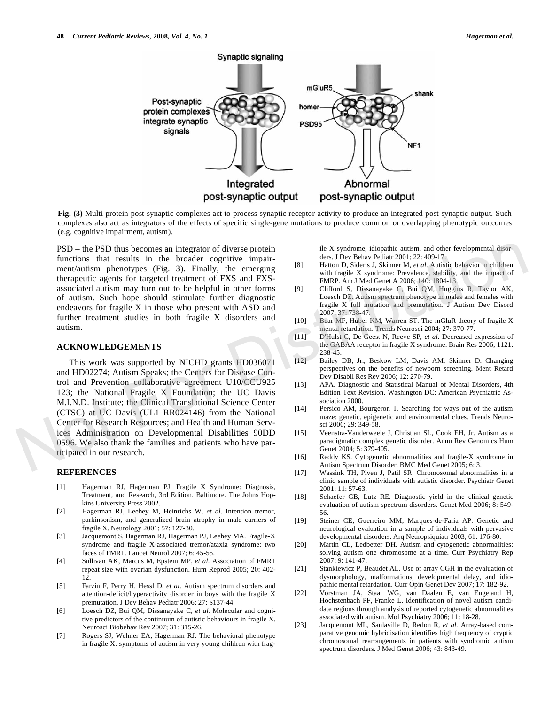

**Fig. (3)** Multi-protein post-synaptic complexes act to process synaptic receptor activity to produce an integrated post-synaptic output. Such complexes also act as integrators of the effects of specific single-gene mutations to produce common or overlapping phenotypic outcomes (e.g. cognitive impairment, autism).

PSD – the PSD thus becomes an integrator of diverse protein functions that results in the broader cognitive impairment/autism phenotypes (Fig. **3**). Finally, the emerging therapeutic agents for targeted treatment of FXS and FXSassociated autism may turn out to be helpful in other forms of autism. Such hope should stimulate further diagnostic endeavors for fragile X in those who present with ASD and further treatment studies in both fragile X disorders and autism.

#### **ACKNOWLEDGEMENTS**

This work was supported by NICHD grants HD036071 and HD02274; Autism Speaks; the Centers for Disease Control and Prevention collaborative agreement U10/CCU925 123; the National Fragile X Foundation; the UC Davis M.I.N.D. Institute; the Clinical Translational Science Center (CTSC) at UC Davis (UL1 RR024146) from the National Center for Research Resources; and Health and Human Services Administration on Developmental Disabilities 90DD 0596. We also thank the families and patients who have participated in our research. PSD – the PSD duts becomes an integrator of diverse protein<br>
inter broader cognitive impuls in the broader cognitive impulsions that results in the broader cognitive impulsions that results in the broader of time<br>
interac

#### **REFERENCES**

- [1] Hagerman RJ, Hagerman PJ. Fragile X Syndrome: Diagnosis, Treatment, and Research, 3rd Edition. Baltimore. The Johns Hopkins University Press 2002.
- [2] Hagerman RJ, Leehey M, Heinrichs W, *et al*. Intention tremor, parkinsonism, and generalized brain atrophy in male carriers of fragile X. Neurology 2001; 57: 127-30.
- [3] Jacquemont S, Hagerman RJ, Hagerman PJ, Leehey MA. Fragile-X syndrome and fragile X-associated tremor/ataxia syndrome: two faces of FMR1. Lancet Neurol 2007; 6: 45-55.
- [4] Sullivan AK, Marcus M, Epstein MP, *et al.* Association of FMR1 repeat size with ovarian dysfunction. Hum Reprod 2005; 20: 402- 12.
- [5] Farzin F, Perry H, Hessl D, *et al.* Autism spectrum disorders and attention-deficit/hyperactivity disorder in boys with the fragile X premutation. J Dev Behav Pediatr 2006; 27: S137-44.
- [6] Loesch DZ, Bui QM, Dissanayake C, *et al.* Molecular and cognitive predictors of the continuum of autistic behaviours in fragile X. Neurosci Biobehav Rev 2007; 31: 315-26.
- [7] Rogers SJ, Wehner EA, Hagerman RJ. The behavioral phenotype in fragile X: symptoms of autism in very young children with frag-

ile X syndrome, idiopathic autism, and other fevelopmental disorders. J Dev Behav Pediatr 2001; 22: 409-17.

- [8] Hatton D, Sideris J, Skinner M, *et al*. Autistic behavior in children with fragile X syndrome: Prevalence, stability, and the impact of FMRP. Am J Med Genet A 2006; 140: 1804-13.
- [9] Clifford S, Dissanayake C, Bui QM, Huggins R, Taylor AK, Loesch DZ. Autism spectrum phenotype in males and females with fragile X full mutation and premutation. J Autism Dev Disord 2007; 37: 738-47.
- [10] Bear MF, Huber KM, Warren ST. The mGluR theory of fragile X mental retardation. Trends Neurosci 2004; 27: 370-77.
- [11] D'Hulst C, De Geest N, Reeve SP, *et al*. Decreased expression of the GABAA receptor in fragile X syndrome. Brain Res 2006; 1121: 238-45.
- [12] Bailey DB, Jr., Beskow LM, Davis AM, Skinner D. Changing perspectives on the benefits of newborn screening. Ment Retard Dev Disabil Res Rev 2006; 12: 270-79.
- [13] APA. Diagnostic and Statistical Manual of Mental Disorders, 4th Edition Text Revision. Washington DC: American Psychiatric Association 2000.
- [14] Persico AM, Bourgeron T. Searching for ways out of the autism maze: genetic, epigenetic and environmental clues. Trends Neurosci 2006; 29: 349-58.
- [15] Veenstra-Vanderweele J, Christian SL, Cook EH, Jr. Autism as a paradigmatic complex genetic disorder. Annu Rev Genomics Hum Genet 2004; 5: 379-405.
- [16] Reddy KS. Cytogenetic abnormalities and fragile-X syndrome in Autism Spectrum Disorder. BMC Med Genet 2005; 6: 3.
- [17] Wassink TH, Piven J, Patil SR. Chromosomal abnormalities in a clinic sample of individuals with autistic disorder. Psychiatr Genet 2001; 11: 57-63.
- [18] Schaefer GB, Lutz RE. Diagnostic yield in the clinical genetic evaluation of autism spectrum disorders. Genet Med 2006; 8: 549- 56.
- [19] Steiner CE, Guerreiro MM, Marques-de-Faria AP. Genetic and neurological evaluation in a sample of individuals with pervasive developmental disorders. Arq Neuropsiquiatr 2003; 61: 176-80.
- [20] Martin CL, Ledbetter DH. Autism and cytogenetic abnormalities: solving autism one chromosome at a time. Curr Psychiatry Rep 2007; 9: 141-47.
- [21] Stankiewicz P, Beaudet AL. Use of array CGH in the evaluation of dysmorphology, malformations, developmental delay, and idiopathic mental retardation. Curr Opin Genet Dev 2007; 17: 182-92.
- [22] Vorstman JA, Staal WG, van Daalen E, van Engeland H, Hochstenbach PF, Franke L. Identification of novel autism candidate regions through analysis of reported cytogenetic abnormalities associated with autism. Mol Psychiatry 2006; 11: 18-28.
- [23] Jacquemont ML, Sanlaville D, Redon R, *et al.* Array-based comparative genomic hybridisation identifies high frequency of cryptic chromosomal rearrangements in patients with syndromic autism spectrum disorders. J Med Genet 2006; 43: 843-49.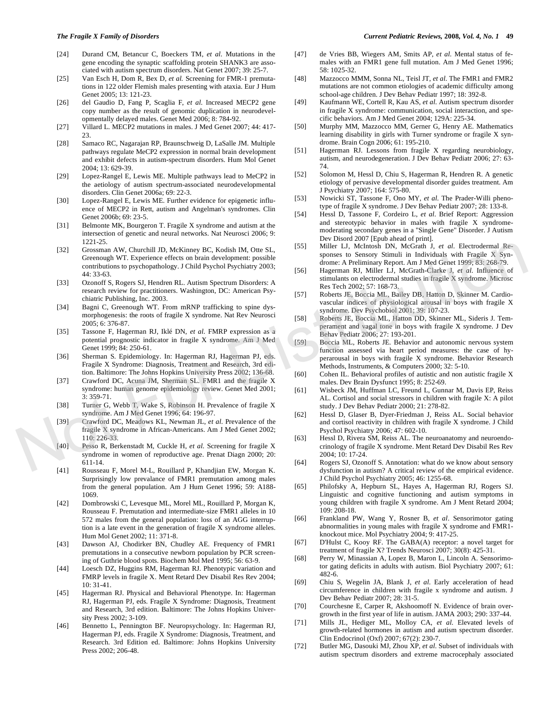- [24] Durand CM, Betancur C, Boeckers TM, *et al*. Mutations in the gene encoding the synaptic scaffolding protein SHANK3 are associated with autism spectrum disorders. Nat Genet 2007; 39: 25-7.
- [25] Van Esch H, Dom R, Bex D, *et al.* Screening for FMR-1 premutations in 122 older Flemish males presenting with ataxia. Eur J Hum Genet 2005; 13: 121-23.
- [26] del Gaudio D, Fang P, Scaglia F, *et al*. Increased MECP2 gene copy number as the result of genomic duplication in neurodevelopmentally delayed males. Genet Med 2006; 8: 784-92.
- [27] Villard L. MECP2 mutations in males. J Med Genet 2007; 44: 417- 23.
- [28] Samaco RC, Nagarajan RP, Braunschweig D, LaSalle JM. Multiple pathways regulate MeCP2 expression in normal brain development and exhibit defects in autism-spectrum disorders. Hum Mol Genet 2004; 13: 629-39.
- [29] Lopez-Rangel E, Lewis ME. Multiple pathways lead to MeCP2 in the aetiology of autism spectrum-associated neurodevelopmental disorders. Clin Genet 2006a; 69: 22-3.
- [30] Lopez-Rangel E, Lewis ME. Further evidence for epigenetic influence of MECP2 in Rett, autism and Angelman's syndromes. Clin Genet 2006b; 69: 23-5.
- [31] Belmonte MK, Bourgeron T. Fragile X syndrome and autism at the intersection of genetic and neural networks. Nat Neurosci 2006; 9: 1221-25.
- [32] Grossman AW, Churchill JD, McKinney BC, Kodish IM, Otte SL, Greenough WT. Experience effects on brain development: possible contributions to psychopathology. J Child Psychol Psychiatry 2003; 44: 33-63. 1321 Caccos on N. Churchill JD, McKinney BC, Kodish IM, Oue SI, Willer 11, McChan D. Statistical statistical statistical statistical statistical statistical statistical statistical statistical statistical statistical stat
	- [33] Ozonoff S, Rogers SJ, Hendren RL. Autism Spectrum Disorders: A research review for practitioners. Washington, DC: American Psychiatric Publishing, Inc. 2003.
	- [34] Bagni C, Greenough WT. From mRNP trafficking to spine dysmorphogenesis: the roots of fragile X syndrome. Nat Rev Neurosci 2005; 6: 376-87.
	- [35] Tassone F, Hagerman RJ, Iklé DN, *et al*. FMRP expression as a potential prognostic indicator in fragile X syndrome. Am J Med Genet 1999; 84: 250-61.
	- [36] Sherman S. Epidemiology. In: Hagerman RJ, Hagerman PJ, eds. Fragile X Syndrome: Diagnosis, Treatment and Research, 3rd edition. Baltimore: The Johns Hopkins University Press 2002; 136-68.
	- [37] Crawford DC, Acuna JM, Sherman SL. FMR1 and the fragile X syndrome: human genome epidemiology review. Genet Med 2001; 3: 359-71.
	- [38] Turner G, Webb T, Wake S, Robinson H. Prevalence of fragile X syndrome. Am J Med Genet 1996; 64: 196-97.
	- [39] Crawford DC, Meadows KL, Newman JL, *et al*. Prevalence of the fragile X syndrome in African-Americans. Am J Med Genet 2002; 110: 226-33.
	- [40] Pesso R, Berkenstadt M, Cuckle H, *et al*. Screening for fragile X syndrome in women of reproductive age. Prenat Diagn 2000; 20: 611-14.
	- [41] Rousseau F, Morel M-L, Rouillard P, Khandjian EW, Morgan K. Surprisingly low prevalance of FMR1 premutation among males from the general population. Am J Hum Genet 1996; 59: A188- 1069.
	- [42] Dombrowski C, Levesque ML, Morel ML, Rouillard P, Morgan K, Rousseau F. Premutation and intermediate-size FMR1 alleles in 10 572 males from the general population: loss of an AGG interruption is a late event in the generation of fragile X syndrome alleles. Hum Mol Genet 2002; 11: 371-8.
	- [43] Dawson AJ, Chodirker BN, Chudley AE. Frequency of FMR1 premutations in a consecutive newborn population by PCR screening of Guthrie blood spots. Biochem Mol Med 1995; 56: 63-9.
	- [44] Loesch DZ, Huggins RM, Hagerman RJ. Phenotypic variation and FMRP levels in fragile X. Ment Retard Dev Disabil Res Rev 2004;  $10: 31-41$ .
	- [45] Hagerman RJ. Physical and Behavioral Phenotype. In: Hagerman RJ, Hagerman PJ, eds. Fragile X Syndrome: Diagnosis, Treatment and Research, 3rd edition. Baltimore: The Johns Hopkins University Press 2002; 3-109.
	- [46] Bennetto L, Pennington BF. Neuropsychology. In: Hagerman RJ, Hagerman PJ, eds. Fragile X Syndrome: Diagnosis, Treatment, and Research. 3rd Edition ed. Baltimore: Johns Hopkins University Press 2002; 206-48.
- [47] de Vries BB, Wiegers AM, Smits AP, *et al*. Mental status of females with an FMR1 gene full mutation. Am J Med Genet 1996; 58: 1025-32.
- [48] Mazzocco MMM, Sonna NL, Teisl JT, *et al*. The FMR1 and FMR2 mutations are not common etiologies of academic difficulty among school-age children. J Dev Behav Pediatr 1997; 18: 392-8.
- [49] Kaufmann WE, Cortell R, Kau AS, *et al*. Autism spectrum disorder in fragile X syndrome: communication, social interaction, and specific behaviors. Am J Med Genet 2004; 129A: 225-34.
- [50] Murphy MM, Mazzocco MM, Gerner G, Henry AE. Mathematics learning disability in girls with Turner syndrome or fragile X syndrome. Brain Cogn 2006; 61: 195-210.
- [51] Hagerman RJ. Lessons from fragile X regarding neurobiology, autism, and neurodegeneration. J Dev Behav Pediatr 2006; 27: 63- 74.
- [52] Solomon M, Hessl D, Chiu S, Hagerman R, Hendren R. A genetic etiology of pervasive developmental disorder guides treatment. Am J Psychiatry 2007; 164: 575-80.
- [53] Nowicki ST, Tassone F, Ono MY, *et al*. The Prader-Willi phenotype of fragile X syndrome. J Dev Behav Pediatr 2007; 28: 133-8.
- [54] Hessl D, Tassone F, Cordeiro L, *et al*. Brief Report: Aggression and stereotypic behavior in males with fragile X syndromemoderating secondary genes in a "Single Gene" Disorder. J Autism Dev Disord 2007 [Epub ahead of print].
- [55] Miller LJ, McIntosh DN, McGrath J, *et al*. Electrodermal Responses to Sensory Stimuli in Individuals with Fragile X Syndrome: A Preliminary Report. Am J Med Genet 1999; 83: 268-79.
- [56] Hagerman RJ, Miller LJ, McGrath-Clarke J, *et al*. Influence of stimulants on electrodermal studies in fragile X syndrome. Microsc Res Tech 2002; 57: 168-73.
- [57] Roberts JE, Boccia ML, Bailey DB, Hatton D, Skinner M. Cardiovascular indices of physiological arousal in boys with fragile X syndrome. Dev Psychobiol 2001; 39: 107-23.
- [58] Roberts JE, Boccia ML, Hatton DD, Skinner ML, Sideris J. Temperament and vagal tone in boys with fragile X syndrome. J Dev Behav Pediatr 2006; 27: 193-201.
- [59] Boccia ML, Roberts JE. Behavior and autonomic nervous system function assessed via heart period measures: the case of hyperarousal in boys with fragile X syndrome. Behavior Research Methods, Instruments, & Computers 2000; 32: 5-10.
- [60] Cohen IL. Behavioral profiles of autistic and non autistic fragile X males. Dev Brain Dysfunct 1995; 8: 252-69.
- [61] Wisbeck JM, Huffman LC, Freund L, Gunnar M, Davis EP, Reiss AL. Cortisol and social stressors in children with fragile X: A pilot study. J Dev Behav Pediatr 2000; 21: 278-82.
- [62] Hessl D, Glaser B, Dyer-Friedman J, Reiss AL. Social behavior and cortisol reactivity in children with fragile X syndrome. J Child Psychol Psychiatry 2006; 47: 602-10.
- [63] Hessl D, Rivera SM, Reiss AL. The neuroanatomy and neuroendocrinology of fragile X syndrome. Ment Retard Dev Disabil Res Rev 2004; 10: 17-24.
- [64] Rogers SJ, Ozonoff S. Annotation: what do we know about sensory dysfunction in autism? A critical review of the empirical evidence. J Child Psychol Psychiatry 2005; 46: 1255-68.
- [65] Philofsky A, Hepburn SL, Hayes A, Hagerman RJ, Rogers SJ. Linguistic and cognitive functioning and autism symptoms in young children with fragile X syndrome. Am J Ment Retard 2004; 109: 208-18.
- [66] Frankland PW, Wang Y, Rosner B, *et al*. Sensorimotor gating abnormalities in young males with fragile X syndrome and FMR1 knockout mice. Mol Psychiatry 2004; 9: 417-25.
- [67] D'Hulst C, Kooy RF. The GABA(A) receptor: a novel target for treatment of fragile X? Trends Neurosci 2007; 30(8): 425-31.
- [68] Perry W, Minassian A, Lopez B, Maron L, Lincoln A. Sensorimotor gating deficits in adults with autism. Biol Psychiatry 2007; 61: 482-6.
- [69] Chiu S, Wegelin JA, Blank J, *et al*. Early acceleration of head circumference in children with fragile x syndrome and autism. J Dev Behav Pediatr 2007; 28: 31-5.
- [70] Courchesne E, Carper R, Akshoomoff N. Evidence of brain overgrowth in the first year of life in autism. JAMA 2003; 290: 337-44.
- [71] Mills JL, Hediger ML, Molloy CA, *et al*. Elevated levels of growth-related hormones in autism and autism spectrum disorder. Clin Endocrinol (Oxf) 2007; 67(2): 230-7.
- [72] Butler MG, Dasouki MJ, Zhou XP, *et al*. Subset of individuals with autism spectrum disorders and extreme macrocephaly associated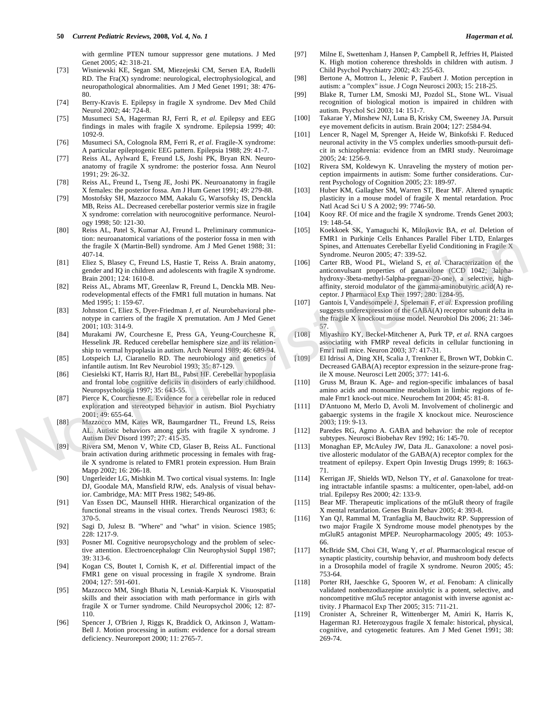with germline PTEN tumour suppressor gene mutations. J Med Genet 2005; 42: 318-21.

- [73] Wisniewski KE, Segan SM, Miezejeski CM, Sersen EA, Rudelli RD. The Fra(X) syndrome: neurological, electrophysiological, and neuropathological abnormalities. Am J Med Genet 1991; 38: 476- 80.
- [74] Berry-Kravis E. Epilepsy in fragile X syndrome. Dev Med Child Neurol 2002; 44: 724-8.
- [75] Musumeci SA, Hagerman RJ, Ferri R, *et al*. Epilepsy and EEG findings in males with fragile X syndrome. Epilepsia 1999; 40: 1092-9.
- [76] Musumeci SA, Colognola RM, Ferri R, *et al*. Fragile-X syndrome: A particular epileptogenic EEG pattern. Epilepsia 1988; 29: 41-7.
- [77] Reiss AL, Aylward E, Freund LS, Joshi PK, Bryan RN. Neuroanatomy of fragile X syndrome: the posterior fossa. Ann Neurol 1991; 29: 26-32.
- [78] Reiss AL, Freund L, Tseng JE, Joshi PK. Neuroanatomy in fragile X females: the posterior fossa. Am J Hum Genet 1991; 49: 279-88.
- [79] Mostofsky SH, Mazzocco MM, Aakalu G, Warsofsky IS, Denckla MB, Reiss AL. Decreased cerebellar posterior vermis size in fragile X syndrome: correlation with neurocognitive performance. Neurology 1998; 50: 121-30.
- [80] Reiss AL, Patel S, Kumar AJ, Freund L. Preliminary communication: neuroanatomical variations of the posterior fossa in men with the fragile X (Martin-Bell) syndrome. Am J Med Genet 1988; 31: 407-14.
- [81] Eliez S, Blasey C, Freund LS, Hastie T, Reiss A. Brain anatomy, gender and IQ in children and adolescents with fragile X syndrome. Brain 2001; 124: 1610-8.
- [82] Reiss AL, Abrams MT, Greenlaw R, Freund L, Denckla MB. Neurodevelopmental effects of the FMR1 full mutation in humans. Nat Med 1995; 1: 159-67.
- [83] Johnston C, Eliez S, Dyer-Friedman J, *et al*. Neurobehavioral phenotype in carriers of the fragile X premutation. Am J Med Genet 2001; 103: 314-9.
- [84] Murakami JW, Courchesne E, Press GA, Yeung-Courchesne R, Hesselink JR. Reduced cerebellar hemisphere size and its relationship to vermal hypoplasia in autism. Arch Neurol 1989; 46: 689-94.
- [85] Lotspeich LJ, Ciaranello RD. The neurobiology and genetics of infantile autism. Int Rev Neurobiol 1993; 35: 87-129.
- [86] Ciesielski KT, Harris RJ, Hart BL, Pabst HF. Cerebellar hypoplasia and frontal lobe cognitive deficits in disorders of early childhood. Neuropsychologia 1997; 35: 643-55.
- [87] Pierce K, Courchesne E. Evidence for a cerebellar role in reduced exploration and stereotyped behavior in autism. Biol Psychiatry 2001; 49: 655-64.
- [88] Mazzocco MM, Kates WR, Baumgardner TL, Freund LS, Reiss AL. Autistic behaviors among girls with fragile X syndrome. J Autism Dev Disord 1997; 27: 415-35.
- [89] Rivera SM, Menon V, White CD, Glaser B, Reiss AL. Functional brain activation during arithmetic processing in females with fragile X syndrome is related to FMR1 protein expression. Hum Brain Mapp 2002; 16: 206-18.
- [90] Ungerleider LG, Mishkin M. Two cortical visual systems. In: Ingle DJ, Goodale MA, Mansfield RJW, eds. Analysis of visual behavior. Cambridge, MA: MIT Press 1982; 549-86.
- [91] Van Essen DC, Maunsell HHR. Hierarchical organization of the functional streams in the visual cortex. Trends Neurosci 1983; 6: 370-5.
- [92] Sagi D, Julesz B. "Where" and "what" in vision. Science 1985; 228: 1217-9.
- [93] Posner MI. Cognitive neuropsychology and the problem of selective attention. Electroencephalogr Clin Neurophysiol Suppl 1987; 39: 313-6.
- [94] Kogan CS, Boutet I, Cornish K, *et al*. Differential impact of the FMR1 gene on visual processing in fragile X syndrome. Brain 2004; 127: 591-601.
- [95] Mazzocco MM, Singh Bhatia N, Lesniak-Karpiak K. Visuospatial skills and their association with math performance in girls with fragile X or Turner syndrome. Child Neuropsychol 2006; 12: 87- 110.
- [96] Spencer J, O'Brien J, Riggs K, Braddick O, Atkinson J, Wattam-Bell J. Motion processing in autism: evidence for a dorsal stream deficiency. Neuroreport 2000; 11: 2765-7.
- [97] Milne E, Swettenham J, Hansen P, Campbell R, Jeffries H, Plaisted K. High motion coherence thresholds in children with autism. J Child Psychol Psychiatry 2002; 43: 255-63.
- [98] Bertone A, Mottron L, Jelenic P, Faubert J. Motion perception in autism: a "complex" issue. J Cogn Neurosci 2003; 15: 218-25.
- [99] Blake R, Turner LM, Smoski MJ, Pozdol SL, Stone WL. Visual recognition of biological motion is impaired in children with autism. Psychol Sci 2003; 14: 151-7.
- [100] Takarae Y, Minshew NJ, Luna B, Krisky CM, Sweeney JA. Pursuit eye movement deficits in autism. Brain 2004; 127: 2584-94.
- [101] Lencer R, Nagel M, Sprenger A, Heide W, Binkofski F. Reduced neuronal activity in the V5 complex underlies smooth-pursuit deficit in schizophrenia: evidence from an fMRI study. Neuroimage 2005; 24: 1256-9.
- [102] Rivera SM, Koldewyn K. Unraveling the mystery of motion perception impairments in autism: Some further considerations. Current Psychology of Cognition 2005; 23: 189-97.
- [103] Huber KM, Gallagher SM, Warren ST, Bear MF. Altered synaptic plasticity in a mouse model of fragile X mental retardation. Proc Natl Acad Sci U S A 2002; 99: 7746-50.
- [104] Kooy RF. Of mice and the fragile X syndrome. Trends Genet 2003; 19: 148-54.
- [105] Koekkoek SK, Yamaguchi K, Milojkovic BA, *et al*. Deletion of FMR1 in Purkinje Cells Enhances Parallel Fiber LTD, Enlarges Spines, and Attenuates Cerebellar Eyelid Conditioning in Fragile X Syndrome. Neuron 2005; 47: 339-52.
- [106] Carter RB, Wood PL, Wieland S, *et al*. Characterization of the anticonvulsant properties of ganaxolone (CCD 1042; 3alphahydroxy-3beta-methyl-5alpha-pregnan-20-one), a selective, highaffinity, steroid modulator of the gamma-aminobutyric acid(A) receptor. J Pharmacol Exp Ther 1997; 280: 1284-95. 16 fragile X (Martin-Bell) syndrome. Am J Med Genet 1988; 31;<br>  $\frac{1}{4}$  Syndrome. Neuron 2005; 47: 339-52.<br>
16 fragile X Note (Fragile X Note (Fragile X Note (Fragile X Note (Fragile X Note (Fragile X Note (Fragile X Not
	- [107] Gantois I, Vandesompele J, Speleman F, *et al*. Expression profiling suggests underexpression of the GABA(A) receptor subunit delta in the fragile X knockout mouse model. Neurobiol Dis 2006; 21: 346- 57.
	- [108] Miyashiro KY, Beckel-Mitchener A, Purk TP, *et al*. RNA cargoes associating with FMRP reveal deficits in cellular functioning in Fmr1 null mice. Neuron 2003; 37: 417-31.
	- [109] El Idrissi A, Ding XH, Scalia J, Trenkner E, Brown WT, Dobkin C. Decreased GABA(A) receptor expression in the seizure-prone fragile X mouse. Neurosci Lett 2005; 377: 141-6.
	- [110] Gruss M, Braun K. Age- and region-specific imbalances of basal amino acids and monoamine metabolism in limbic regions of female Fmr1 knock-out mice. Neurochem Int 2004; 45: 81-8.
	- [111] D'Antuono M, Merlo D, Avoli M. Involvement of cholinergic and gabaergic systems in the fragile X knockout mice. Neuroscience 2003; 119: 9-13.
	- [112] Paredes RG, Agmo A. GABA and behavior: the role of receptor subtypes. Neurosci Biobehav Rev 1992; 16: 145-70.
	- [113] Monaghan EP, McAuley JW, Data JL. Ganaxolone: a novel positive allosteric modulator of the GABA(A) receptor complex for the treatment of epilepsy. Expert Opin Investig Drugs 1999; 8: 1663- 71.
	- [114] Kerrigan JF, Shields WD, Nelson TY, *et al*. Ganaxolone for treating intractable infantile spasms: a multicenter, open-label, add-on trial. Epilepsy Res 2000; 42: 133-9.
	- [115] Bear MF. Therapeutic implications of the mGluR theory of fragile X mental retardation. Genes Brain Behav 2005; 4: 393-8.
	- [116] Yan QJ, Rammal M, Tranfaglia M, Bauchwitz RP. Suppression of two major Fragile X Syndrome mouse model phenotypes by the mGluR5 antagonist MPEP. Neuropharmacology 2005; 49: 1053- 66.
	- [117] McBride SM, Choi CH, Wang Y, *et al*. Pharmacological rescue of synaptic plasticity, courtship behavior, and mushroom body defects in a Drosophila model of fragile X syndrome. Neuron 2005; 45: 753-64.
	- [118] Porter RH, Jaeschke G, Spooren W, *et al*. Fenobam: A clinically validated nonbenzodiazepine anxiolytic is a potent, selective, and noncompetitive mGlu5 receptor antagonist with inverse agonist activity. J Pharmacol Exp Ther 2005; 315: 711-21.
	- [119] Cronister A, Schreiner R, Wittenberger M, Amiri K, Harris K, Hagerman RJ. Heterozygous fragile X female: historical, physical, cognitive, and cytogenetic features. Am J Med Genet 1991; 38: 269-74.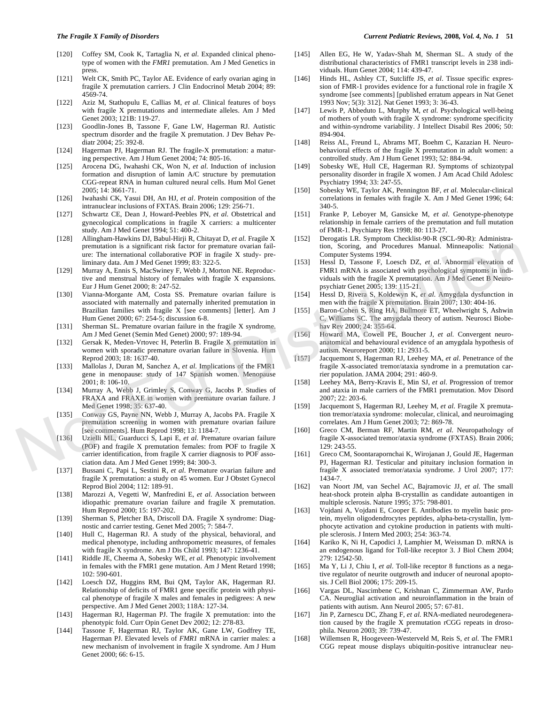- [120] Coffey SM, Cook K, Tartaglia N, *et al*. Expanded clinical phenotype of women with the *FMR1* premutation. Am J Med Genetics in press.
- [121] Welt CK, Smith PC, Taylor AE. Evidence of early ovarian aging in fragile X premutation carriers. J Clin Endocrinol Metab 2004; 89: 4569-74.
- [122] Aziz M, Stathopulu E, Callias M, *et al*. Clinical features of boys with fragile X premutations and intermediate alleles. Am J Med Genet 2003; 121B: 119-27.
- [123] Goodlin-Jones B, Tassone F, Gane LW, Hagerman RJ. Autistic spectrum disorder and the fragile X premutation. J Dev Behav Pediatr 2004; 25: 392-8.
- [124] Hagerman PJ, Hagerman RJ. The fragile-X premutation: a maturing perspective. Am J Hum Genet 2004; 74: 805-16.
- [125] Arocena DG, Iwahashi CK, Won N, *et al*. Induction of inclusion formation and disruption of lamin A/C structure by premutation CGG-repeat RNA in human cultured neural cells. Hum Mol Genet 2005; 14: 3661-71.
- [126] Iwahashi CK, Yasui DH, An HJ, *et al*. Protein composition of the intranuclear inclusions of FXTAS. Brain 2006; 129: 256-71.
- [127] Schwartz CE, Dean J, Howard-Peebles PN, *et al*. Obstetrical and gynecological complications in fragile X carriers: a multicenter study. Am J Med Genet 1994; 51: 400-2.
- [128] Allingham-Hawkins DJ, Babul-Hirji R, Chitayat D, *et al*. Fragile X premutation is a significant risk factor for premature ovarian failure: The international collaborative POF in fragile X study- preliminary data. Am J Med Genet 1999; 83: 322-5.
- [129] Murray A, Ennis S, MacSwiney F, Webb J, Morton NE. Reproductive and menstrual history of females with fragile X expansions. Eur J Hum Genet 2000; 8: 247-52.
- [130] Vianna-Morgante AM, Costa SS. Premature ovarian failure is associated with maternally and paternally inherited premutation in Brazilian families with fragile X [see comments] [letter]. Am J Hum Genet 2000; 67: 254-5; discussion 6-8. eremulation is a significant eicher for permane example and Procedures Manual. Minneapolis: National<br>
use: The international collaborative POF in fragile X study- pe-<br>
laminary data, Am I Med Genet I Manual Africa Day Ass
	- [131] Sherman SL. Premature ovarian failure in the fragile X syndrome. Am J Med Genet (Semin Med Genet) 2000; 97: 189-94.
	- [132] Gersak K, Meden-Vrtovec H, Peterlin B. Fragile X premutation in women with sporadic premature ovarian failure in Slovenia. Hum Reprod 2003; 18: 1637-40.
	- [133] Mallolas J, Duran M, Sanchez A, *et al*. Implications of the FMR1 gene in menopause: study of 147 Spanish women. Menopause 2001; 8: 106-10.
	- [134] Murray A, Webb J, Grimley S, Conway G, Jacobs P. Studies of FRAXA and FRAXE in women with premature ovarian failure. J Med Genet 1998; 35: 637-40.
	- [135] Conway GS, Payne NN, Webb J, Murray A, Jacobs PA. Fragile X premutation screening in women with premature ovarian failure [see comments]. Hum Reprod 1998; 13: 1184-7.
	- [136] Uzielli ML, Guarducci S, Lapi E, *et al*. Premature ovarian failure (POF) and fragile X premutation females: from POF to fragile X carrier identification, from fragile X carrier diagnosis to POF association data. Am J Med Genet 1999; 84: 300-3.
	- [137] Bussani C, Papi L, Sestini R, *et al*. Premature ovarian failure and fragile X premutation: a study on 45 women. Eur J Obstet Gynecol Reprod Biol 2004; 112: 189-91.
	- [138] Marozzi A, Vegetti W, Manfredini E, *et al*. Association between idiopathic premature ovarian failure and fragile X premutation. Hum Reprod 2000; 15: 197-202.
	- [139] Sherman S, Pletcher BA, Driscoll DA. Fragile X syndrome: Diagnostic and carrier testing. Genet Med 2005; 7: 584-7.
	- [140] Hull C, Hagerman RJ. A study of the physical, behavioral, and medical phenotype, including anthropometric measures, of females with fragile X syndrome. Am J Dis Child 1993; 147: 1236-41.
	- [141] Riddle JE, Cheema A, Sobesky WE, *et al*. Phenotypic involvement in females with the FMR1 gene mutation. Am J Ment Retard 1998; 102: 590-601.
	- [142] Loesch DZ, Huggins RM, Bui QM, Taylor AK, Hagerman RJ. Relationship of deficits of FMR1 gene specific protein with physical phenotype of fragile X males and females in pedigrees: A new perspective. Am J Med Genet 2003; 118A: 127-34.
	- [143] Hagerman RJ, Hagerman PJ. The fragile X premutation: into the phenotypic fold. Curr Opin Genet Dev 2002; 12: 278-83.
	- [144] Tassone F, Hagerman RJ, Taylor AK, Gane LW, Godfrey TE, Hagerman PJ. Elevated levels of *FMR1* mRNA in carrier males: a new mechanism of involvement in fragile X syndrome. Am J Hum Genet 2000; 66: 6-15.
- [145] Allen EG, He W, Yadav-Shah M, Sherman SL. A study of the distributional characteristics of FMR1 transcript levels in 238 individuals. Hum Genet 2004; 114: 439-47.
- [146] Hinds HL, Ashley CT, Sutcliffe JS, *et al*. Tissue specific expression of FMR-1 provides evidence for a functional role in fragile X syndrome [see comments] [published erratum appears in Nat Genet 1993 Nov; 5(3): 312]. Nat Genet 1993; 3: 36-43.
- [147] Lewis P, Abbeduto L, Murphy M, *et al*. Psychological well-being of mothers of youth with fragile X syndrome: syndrome specificity and within-syndrome variability. J Intellect Disabil Res 2006; 50: 894-904.
- [148] Reiss AL, Freund L, Abrams MT, Boehm C, Kazazian H. Neurobehavioral effects of the fragile X premutation in adult women: a controlled study. Am J Hum Genet 1993; 52: 884-94.
- [149] Sobesky WE, Hull CE, Hagerman RJ. Symptoms of schizotypal personality disorder in fragile X women. J Am Acad Child Adolesc Psychiatry 1994; 33: 247-55.
- [150] Sobesky WE, Taylor AK, Pennington BF, *et al*. Molecular-clinical correlations in females with fragile X. Am J Med Genet 1996; 64: 340-5.
- [151] Franke P, Leboyer M, Gansicke M, *et al*. Genotype-phenotype relationship in female carriers of the premutation and full mutation of FMR-1. Psychiatry Res 1998; 80: 113-27.
- [152] Derogatis LR. Symptom Checklist-90-R (SCL-90-R): Administration, Scoring, and Procedures Manual. Minneapolis: National Computer Systems 1994.
- [153] Hessl D, Tassone F, Loesch DZ, *et al*. Abnormal elevation of FMR1 mRNA is associated with psychological symptoms in individuals with the fragile X premutation. Am J Med Genet B Neuropsychiatr Genet 2005; 139: 115-21.
- [154] Hessl D, Rivera S, Koldewyn K, *et al*. Amygdala dysfunction in men with the fragile X premutation. Brain 2007; 130: 404-16.
- [155] Baron-Cohen S, Ring HA, Bullmore ET, Wheelwright S, Ashwin C, Williams SC. The amygdala theory of autism. Neurosci Biobehav Rev 2000; 24: 355-64.
- [156] Howard MA, Cowell PE, Boucher J, *et al*. Convergent neuroanatomical and behavioural evidence of an amygdala hypothesis of autism. Neuroreport 2000; 11: 2931-5.
- [157] Jacquemont S, Hagerman RJ, Leehey MA, *et al*. Penetrance of the fragile X-associated tremor/ataxia syndrome in a premutation carrier population. JAMA 2004; 291: 460-9.
- [158] Leehey MA, Berry-Kravis E, Min SJ, *et al*. Progression of tremor and ataxia in male carriers of the FMR1 premutation. Mov Disord 2007; 22: 203-6.
- [159] Jacquemont S, Hagerman RJ, Leehey M, *et al*. Fragile X premutation tremor/ataxia syndrome: molecular, clinical, and neuroimaging correlates. Am J Hum Genet 2003; 72: 869-78.
- [160] Greco CM, Berman RF, Martin RM, *et al*. Neuropathology of fragile X-associated tremor/ataxia syndrome (FXTAS). Brain 2006; 129: 243-55.
- [161] Greco CM, Soontarapornchai K, Wirojanan J, Gould JE, Hagerman PJ, Hagerman RJ. Testicular and pituitary inclusion formation in fragile X associated tremor/ataxia syndrome. J Urol 2007; 177: 1434-7.
- [162] van Noort JM, van Sechel AC, Bajramovic JJ, *et al*. The small heat-shock protein alpha B-crystallin as candidate autoantigen in multiple sclerosis. Nature 1995; 375: 798-801.
- [163] Vojdani A, Vojdani E, Cooper E. Antibodies to myelin basic protein, myelin oligodendrocytes peptides, alpha-beta-crystallin, lymphocyte activation and cytokine production in patients with multiple sclerosis. J Intern Med 2003; 254: 363-74.
- [164] Kariko K, Ni H, Capodici J, Lamphier M, Weissman D. mRNA is an endogenous ligand for Toll-like receptor 3. J Biol Chem 2004; 279: 12542-50.
- [165] Ma Y, Li J, Chiu I, *et al*. Toll-like receptor 8 functions as a negative regulator of neurite outgrowth and inducer of neuronal apoptosis. J Cell Biol 2006; 175: 209-15.
- [166] Vargas DL, Nascimbene C, Krishnan C, Zimmerman AW, Pardo CA. Neuroglial activation and neuroinflammation in the brain of patients with autism. Ann Neurol 2005; 57: 67-81.
- [167] Jin P, Zarnescu DC, Zhang F, *et al*. RNA-mediated neurodegeneration caused by the fragile X premutation rCGG repeats in drosophila. Neuron 2003; 39: 739-47.
- [168] Willemsen R, Hoogeveen-Westerveld M, Reis S, *et al*. The FMR1 CGG repeat mouse displays ubiquitin-positive intranuclear neu-